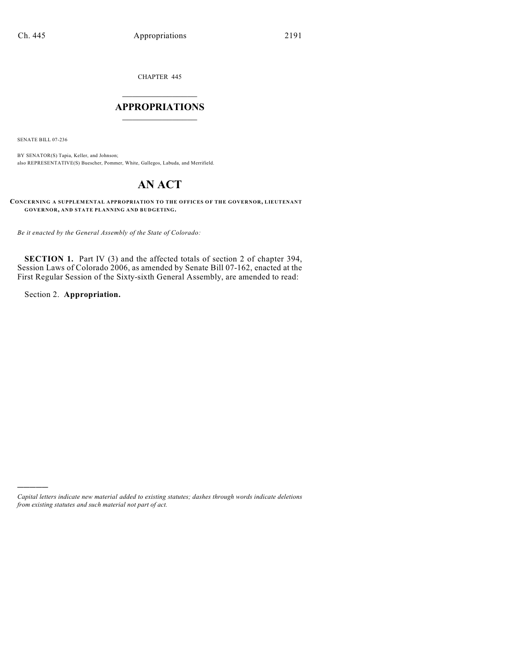CHAPTER 445

## $\overline{\phantom{a}}$  . The set of the set of the set of the set of the set of the set of the set of the set of the set of the set of the set of the set of the set of the set of the set of the set of the set of the set of the set o **APPROPRIATIONS**  $\_$   $\_$   $\_$   $\_$   $\_$   $\_$   $\_$   $\_$

SENATE BILL 07-236

BY SENATOR(S) Tapia, Keller, and Johnson; also REPRESENTATIVE(S) Buescher, Pommer, White, Gallegos, Labuda, and Merrifield.

## **AN ACT**

**CONCERNING A SUPPLEMENTAL APPROPRIATION TO THE OFFICES OF THE GOVERNOR, LIEUTENANT GOVERNOR, AND STATE PLANNING AND BUDGETING.**

*Be it enacted by the General Assembly of the State of Colorado:*

**SECTION 1.** Part IV (3) and the affected totals of section 2 of chapter 394, Session Laws of Colorado 2006, as amended by Senate Bill 07-162, enacted at the First Regular Session of the Sixty-sixth General Assembly, are amended to read:

Section 2. **Appropriation.**

)))))

*Capital letters indicate new material added to existing statutes; dashes through words indicate deletions from existing statutes and such material not part of act.*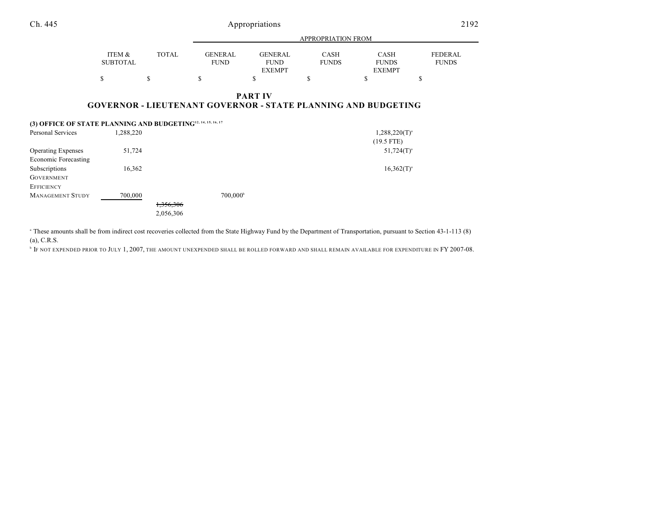Ch. 445 Appropriations

|--|

|                 |              |                | APPROPRIATION FROM |              |               |                |  |  |
|-----------------|--------------|----------------|--------------------|--------------|---------------|----------------|--|--|
|                 |              |                |                    |              |               |                |  |  |
| ITEM &          | <b>TOTAL</b> | <b>GENERAL</b> | GENERAL            | <b>CASH</b>  | CASH          | <b>FEDERAL</b> |  |  |
| <b>SUBTOTAL</b> |              | <b>FUND</b>    | <b>FUND</b>        | <b>FUNDS</b> | <b>FUNDS</b>  | <b>FUNDS</b>   |  |  |
|                 |              |                | <b>EXEMPT</b>      |              | <b>EXEMPT</b> |                |  |  |
|                 |              |                |                    |              |               |                |  |  |

## **PART IV GOVERNOR - LIEUTENANT GOVERNOR - STATE PLANNING AND BUDGETING**

| (3) OFFICE OF STATE PLANNING AND BUDGETING <sup>12, 14, 15, 16, 17</sup> |           |           |                   |                    |
|--------------------------------------------------------------------------|-----------|-----------|-------------------|--------------------|
| Personal Services                                                        | 1,288,220 |           |                   | $1,288,220(T)^{3}$ |
|                                                                          |           |           |                   | $(19.5$ FTE)       |
| <b>Operating Expenses</b>                                                | 51,724    |           |                   | $51,724(T)^{3}$    |
| Economic Forecasting                                                     |           |           |                   |                    |
| Subscriptions                                                            | 16,362    |           |                   | $16,362(T)^{3}$    |
| <b>GOVERNMENT</b>                                                        |           |           |                   |                    |
| <b>EFFICIENCY</b>                                                        |           |           |                   |                    |
| <b>MANAGEMENT STUDY</b>                                                  | 700,000   |           | $700,000^{\circ}$ |                    |
|                                                                          |           | 1,356,306 |                   |                    |
|                                                                          |           | 2,056,306 |                   |                    |

<sup>a</sup> These amounts shall be from indirect cost recoveries collected from the State Highway Fund by the Department of Transportation, pursuant to Section 43-1-113 (8) (a), C.R.S.

**IF NOT EXPENDED PRIOR TO JULY 1, 2007, THE AMOUNT UNEXPENDED SHALL BE ROLLED FORWARD AND SHALL REMAIN AVAILABLE FOR EXPENDITURE IN FY 2007-08.**